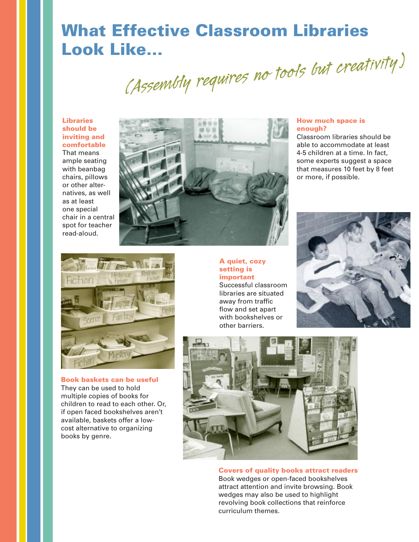# **What Effective Classroom Libraries**

Look Like...<br>(Assembly requires no tools but creativity)

**Libraries should be inviting and comfortable** That means ample seating with beanbag chairs, pillows or other alternatives, as well as at least one special chair in a central spot for teacher read-aloud.



# **How much space is enough?**

Classroom libraries should be able to accommodate at least 4-5 children at a time. In fact, some experts suggest a space that measures 10 feet by 8 feet or more, if possible.



**Book baskets can be useful**  They can be used to hold multiple copies of books for children to read to each other. Or, if open faced bookshelves aren't available, baskets offer a lowcost alternative to organizing books by genre.

**A quiet, cozy setting is important**

Successful classroom libraries are situated away from traffic flow and set apart with bookshelves or other barriers.





**Covers of quality books attract readers** Book wedges or open-faced bookshelves attract attention and invite browsing. Book wedges may also be used to highlight revolving book collections that reinforce curriculum themes.